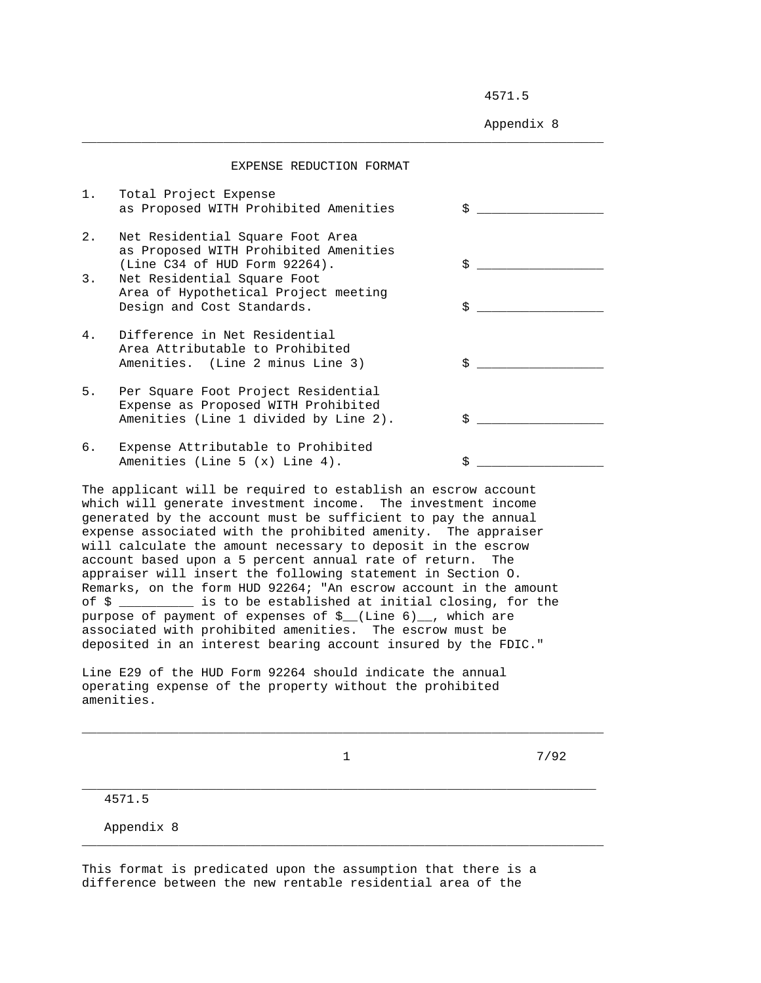4571.5

Appendix 8

|    | EXPENSE REDUCTION FORMAT                                                                                            |                                                      |
|----|---------------------------------------------------------------------------------------------------------------------|------------------------------------------------------|
| 1. | Total Project Expense<br>as Proposed WITH Prohibited Amenities                                                      | \$                                                   |
| 2. | Net Residential Square Foot Area<br>as Proposed WITH Prohibited Amenities<br>(Line C34 of HUD Form 92264).          | \$                                                   |
| 3. | Net Residential Square Foot                                                                                         |                                                      |
|    | Area of Hypothetical Project meeting<br>Design and Cost Standards.                                                  | \$<br><u> 1980 - Jan Jan Jawa Barat, president p</u> |
| 4. | Difference in Net Residential<br>Area Attributable to Prohibited<br>Amenities. (Line 2 minus Line 3)                | S                                                    |
| 5. | Per Square Foot Project Residential<br>Expense as Proposed WITH Prohibited<br>Amenities (Line 1 divided by Line 2). | Ŝ.                                                   |
| б. | Expense Attributable to Prohibited<br>Amenities (Line 5 $(x)$ Line 4).                                              |                                                      |

\_\_\_\_\_\_\_\_\_\_\_\_\_\_\_\_\_\_\_\_\_\_\_\_\_\_\_\_\_\_\_\_\_\_\_\_\_\_\_\_\_\_\_\_\_\_\_\_\_\_\_\_\_\_\_\_\_\_\_\_\_\_\_\_\_\_\_\_\_\_

The applicant will be required to establish an escrow account which will generate investment income. The investment income generated by the account must be sufficient to pay the annual expense associated with the prohibited amenity. The appraiser will calculate the amount necessary to deposit in the escrow account based upon a 5 percent annual rate of return. The appraiser will insert the following statement in Section O. Remarks, on the form HUD 92264; "An escrow account in the amount of \$ is to be established at initial closing, for the purpose of payment of expenses of \$\_(Line 6)\_, which are associated with prohibited amenities. The escrow must be deposited in an interest bearing account insured by the FDIC."

Line E29 of the HUD Form 92264 should indicate the annual operating expense of the property without the prohibited amenities.

\_\_\_\_\_\_\_\_\_\_\_\_\_\_\_\_\_\_\_\_\_\_\_\_\_\_\_\_\_\_\_\_\_\_\_\_\_\_\_\_\_\_\_\_\_\_\_\_\_\_\_\_\_\_\_\_\_\_\_\_\_\_\_\_\_\_\_\_\_\_

\_\_\_\_\_\_\_\_\_\_\_\_\_\_\_\_\_\_\_\_\_\_\_\_\_\_\_\_\_\_\_\_\_\_\_\_\_\_\_\_\_\_\_\_\_\_\_\_\_\_\_\_\_\_\_\_\_\_\_\_\_\_\_\_\_\_\_\_\_

\_\_\_\_\_\_\_\_\_\_\_\_\_\_\_\_\_\_\_\_\_\_\_\_\_\_\_\_\_\_\_\_\_\_\_\_\_\_\_\_\_\_\_\_\_\_\_\_\_\_\_\_\_\_\_\_\_\_\_\_\_\_\_\_\_\_\_\_\_\_

 $\frac{1}{7/92}$ 

4571.5

Appendix 8

This format is predicated upon the assumption that there is a difference between the new rentable residential area of the